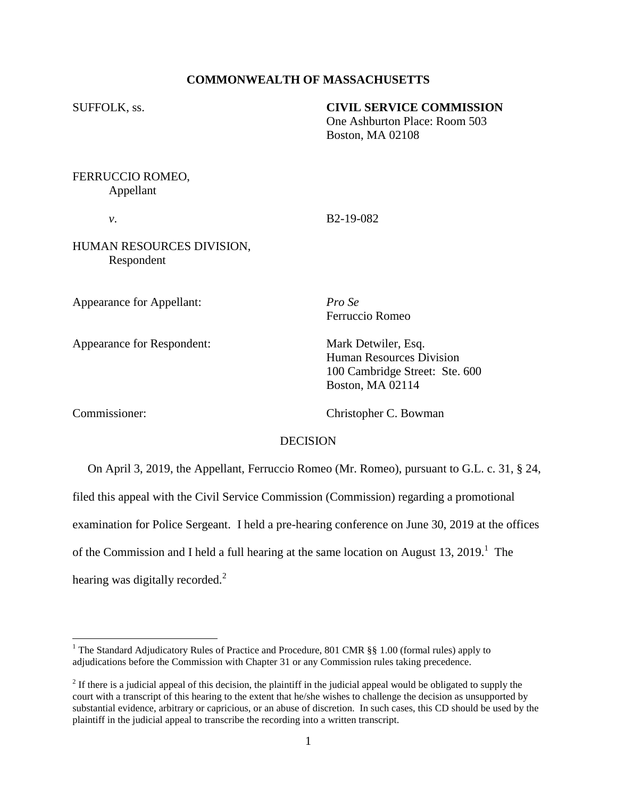# **COMMONWEALTH OF MASSACHUSETTS**

#### SUFFOLK, ss. **CIVIL SERVICE COMMISSION**

One Ashburton Place: Room 503 Boston, MA 02108

FERRUCCIO ROMEO, Appellant

*v*. B2-19-082

HUMAN RESOURCES DIVISION, Respondent

Appearance for Appellant: *Pro Se*

Appearance for Respondent: Mark Detwiler, Esq.

Ferruccio Romeo

Human Resources Division 100 Cambridge Street: Ste. 600 Boston, MA 02114

 $\overline{a}$ 

Commissioner: Christopher C. Bowman

## DECISION

 On April 3, 2019, the Appellant, Ferruccio Romeo (Mr. Romeo), pursuant to G.L. c. 31, § 24, filed this appeal with the Civil Service Commission (Commission) regarding a promotional examination for Police Sergeant. I held a pre-hearing conference on June 30, 2019 at the offices of the Commission and I held a full hearing at the same location on August 13, 2019.<sup>1</sup> The hearing was digitally recorded. $2$ 

<sup>&</sup>lt;sup>1</sup> The Standard Adjudicatory Rules of Practice and Procedure, 801 CMR §§ 1.00 (formal rules) apply to adjudications before the Commission with Chapter 31 or any Commission rules taking precedence.

 $2<sup>2</sup>$  If there is a judicial appeal of this decision, the plaintiff in the judicial appeal would be obligated to supply the court with a transcript of this hearing to the extent that he/she wishes to challenge the decision as unsupported by substantial evidence, arbitrary or capricious, or an abuse of discretion. In such cases, this CD should be used by the plaintiff in the judicial appeal to transcribe the recording into a written transcript.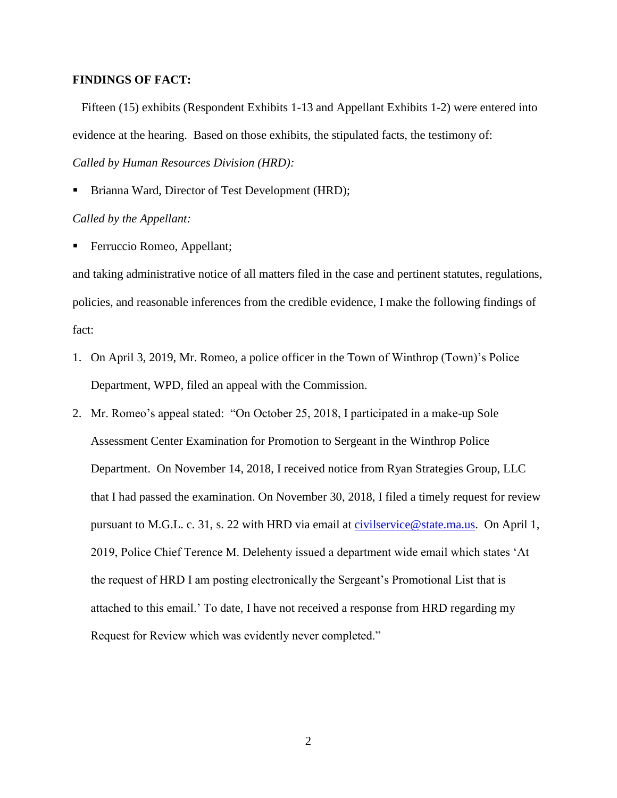## **FINDINGS OF FACT:**

Fifteen (15) exhibits (Respondent Exhibits 1-13 and Appellant Exhibits 1-2) were entered into evidence at the hearing. Based on those exhibits, the stipulated facts, the testimony of: *Called by Human Resources Division (HRD):*

Brianna Ward, Director of Test Development (HRD);

## *Called by the Appellant:*

**Ferruccio Romeo, Appellant;** 

and taking administrative notice of all matters filed in the case and pertinent statutes, regulations, policies, and reasonable inferences from the credible evidence, I make the following findings of fact:

- 1. On April 3, 2019, Mr. Romeo, a police officer in the Town of Winthrop (Town)'s Police Department, WPD, filed an appeal with the Commission.
- 2. Mr. Romeo's appeal stated: "On October 25, 2018, I participated in a make-up Sole Assessment Center Examination for Promotion to Sergeant in the Winthrop Police Department. On November 14, 2018, I received notice from Ryan Strategies Group, LLC that I had passed the examination. On November 30, 2018, I filed a timely request for review pursuant to M.G.L. c. 31, s. 22 with HRD via email at [civilservice@state.ma.us.](mailto:civilservice@state.ma.us) On April 1, 2019, Police Chief Terence M. Delehenty issued a department wide email which states 'At the request of HRD I am posting electronically the Sergeant's Promotional List that is attached to this email.' To date, I have not received a response from HRD regarding my Request for Review which was evidently never completed."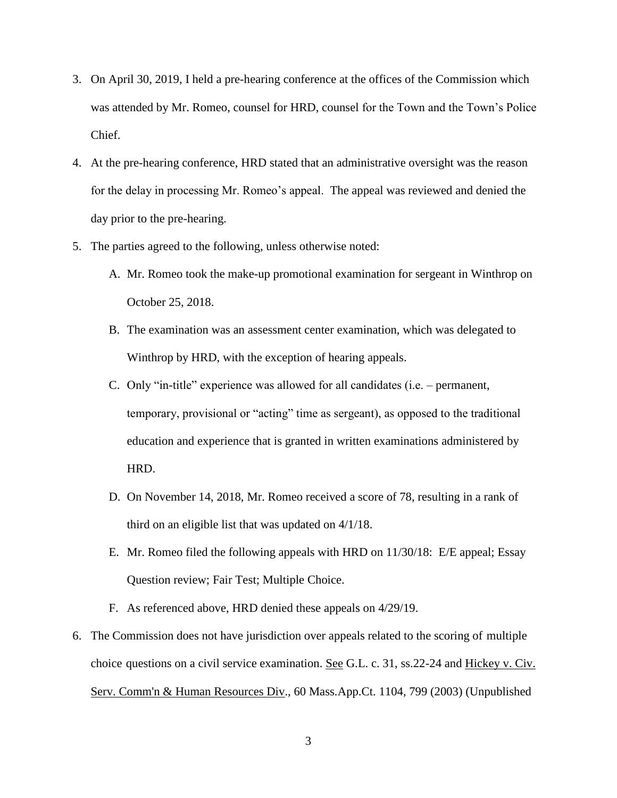- 3. On April 30, 2019, I held a pre-hearing conference at the offices of the Commission which was attended by Mr. Romeo, counsel for HRD, counsel for the Town and the Town's Police Chief.
- 4. At the pre-hearing conference, HRD stated that an administrative oversight was the reason for the delay in processing Mr. Romeo's appeal. The appeal was reviewed and denied the day prior to the pre-hearing.
- 5. The parties agreed to the following, unless otherwise noted:
	- A. Mr. Romeo took the make-up promotional examination for sergeant in Winthrop on October 25, 2018.
	- B. The examination was an assessment center examination, which was delegated to Winthrop by HRD, with the exception of hearing appeals.
	- C. Only "in-title" experience was allowed for all candidates (i.e. permanent, temporary, provisional or "acting" time as sergeant), as opposed to the traditional education and experience that is granted in written examinations administered by HRD.
	- D. On November 14, 2018, Mr. Romeo received a score of 78, resulting in a rank of third on an eligible list that was updated on 4/1/18.
	- E. Mr. Romeo filed the following appeals with HRD on 11/30/18: E/E appeal; Essay Question review; Fair Test; Multiple Choice.
	- F. As referenced above, HRD denied these appeals on 4/29/19.
- 6. The Commission does not have jurisdiction over appeals related to the scoring ofmultiple choic[e](http://sll.gvpi.net/document.php?id=csc:csc18e-63&type=hitlist&num=0#hit8) questions on a civil service examination. See G.L. c. 31, ss.22-24 and Hickey v. Civ. Serv. Comm'n & Human Resources Div., 60 Mass.App.Ct. 1104, 799 (2003) (Unpublished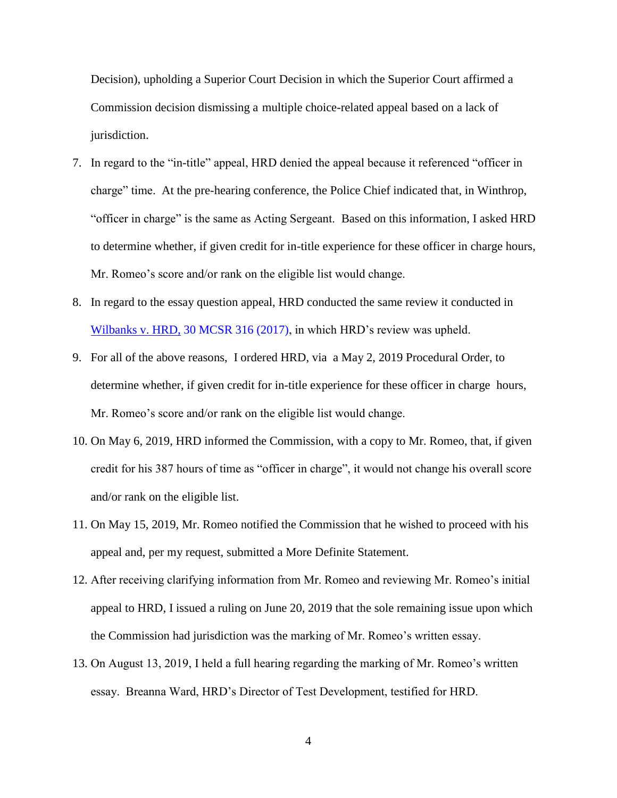Decision), upholding a Superior Court Decision in which the Superior Court affirmed a Commission decision dismissing amultiple choice-related appeal based on a lack of jurisdiction.

- 7. In regard to the "in-title" appeal, HRD denied the appeal because it referenced "officer in charge" time. At the pre-hearing conference, the Police Chief indicated that, in Winthrop, "officer in charge" is the same as Acting Sergeant. Based on this information, I asked HRD to determine whether, if given credit for in-title experience for these officer in charge hours, Mr. Romeo's score and/or rank on the eligible list would change.
- 8. In regard to the essay question appeal, HRD conducted the same review it conducted in Wilbanks v. HRD, [30 MCSR 316 \(2017\),](https://www.mass.gov/files/documents/2017/07/zq/wilbanks_sean_072017.pdf) in which HRD's review was upheld.
- 9. For all of the above reasons, I ordered HRD, via a May 2, 2019 Procedural Order, to determine whether, if given credit for in-title experience for these officer in charge hours, Mr. Romeo's score and/or rank on the eligible list would change.
- 10. On May 6, 2019, HRD informed the Commission, with a copy to Mr. Romeo, that, if given credit for his 387 hours of time as "officer in charge", it would not change his overall score and/or rank on the eligible list.
- 11. On May 15, 2019, Mr. Romeo notified the Commission that he wished to proceed with his appeal and, per my request, submitted a More Definite Statement.
- 12. After receiving clarifying information from Mr. Romeo and reviewing Mr. Romeo's initial appeal to HRD, I issued a ruling on June 20, 2019 that the sole remaining issue upon which the Commission had jurisdiction was the marking of Mr. Romeo's written essay.
- 13. On August 13, 2019, I held a full hearing regarding the marking of Mr. Romeo's written essay. Breanna Ward, HRD's Director of Test Development, testified for HRD.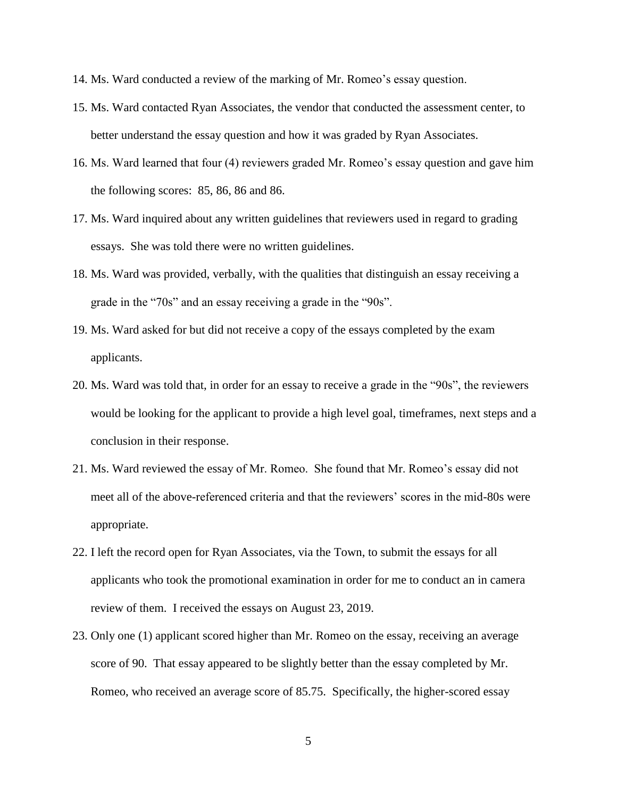- 14. Ms. Ward conducted a review of the marking of Mr. Romeo's essay question.
- 15. Ms. Ward contacted Ryan Associates, the vendor that conducted the assessment center, to better understand the essay question and how it was graded by Ryan Associates.
- 16. Ms. Ward learned that four (4) reviewers graded Mr. Romeo's essay question and gave him the following scores: 85, 86, 86 and 86.
- 17. Ms. Ward inquired about any written guidelines that reviewers used in regard to grading essays. She was told there were no written guidelines.
- 18. Ms. Ward was provided, verbally, with the qualities that distinguish an essay receiving a grade in the "70s" and an essay receiving a grade in the "90s".
- 19. Ms. Ward asked for but did not receive a copy of the essays completed by the exam applicants.
- 20. Ms. Ward was told that, in order for an essay to receive a grade in the "90s", the reviewers would be looking for the applicant to provide a high level goal, timeframes, next steps and a conclusion in their response.
- 21. Ms. Ward reviewed the essay of Mr. Romeo. She found that Mr. Romeo's essay did not meet all of the above-referenced criteria and that the reviewers' scores in the mid-80s were appropriate.
- 22. I left the record open for Ryan Associates, via the Town, to submit the essays for all applicants who took the promotional examination in order for me to conduct an in camera review of them. I received the essays on August 23, 2019.
- 23. Only one (1) applicant scored higher than Mr. Romeo on the essay, receiving an average score of 90. That essay appeared to be slightly better than the essay completed by Mr. Romeo, who received an average score of 85.75. Specifically, the higher-scored essay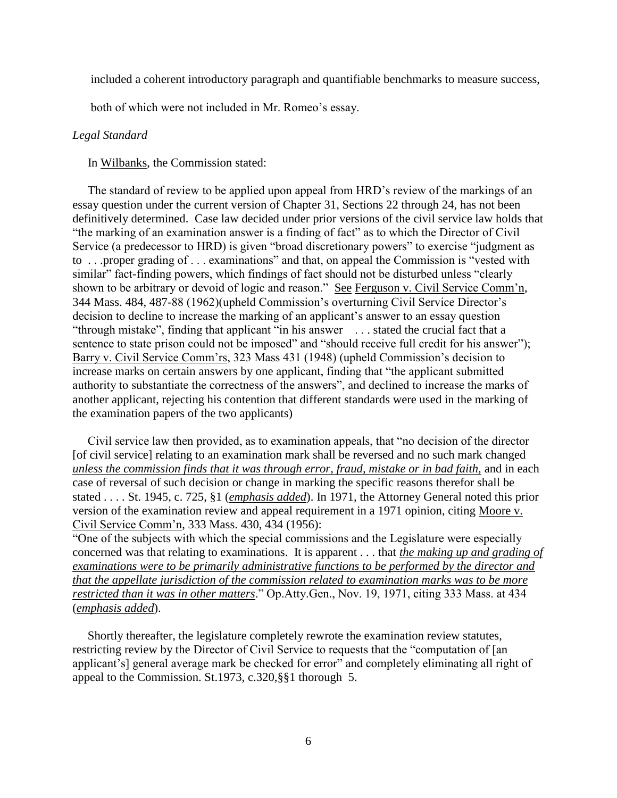included a coherent introductory paragraph and quantifiable benchmarks to measure success,

both of which were not included in Mr. Romeo's essay.

#### *Legal Standard*

In Wilbanks, the Commission stated:

 The standard of review to be applied upon appeal from HRD's review of the markings of an essay question under the current version of Chapter 31, Sections 22 through 24, has not been definitively determined. Case law decided under prior versions of the civil service law holds that "the marking of an examination answer is a finding of fact" as to which the Director of Civil Service (a predecessor to HRD) is given "broad discretionary powers" to exercise "judgment as to . . .proper grading of . . . examinations" and that, on appeal the Commission is "vested with similar" fact-finding powers, which findings of fact should not be disturbed unless "clearly shown to be arbitrary or devoid of logic and reason." See Ferguson v. Civil Service Comm'n, 344 Mass. 484, 487-88 (1962)(upheld Commission's overturning Civil Service Director's decision to decline to increase the marking of an applicant's answer to an essay question "through mistake", finding that applicant "in his answer . . . stated the crucial fact that a sentence to state prison could not be imposed" and "should receive full credit for his answer"); Barry v. Civil Service Comm'rs, 323 Mass 431 (1948) (upheld Commission's decision to increase marks on certain answers by one applicant, finding that "the applicant submitted authority to substantiate the correctness of the answers", and declined to increase the marks of another applicant, rejecting his contention that different standards were used in the marking of the examination papers of the two applicants)

 Civil service law then provided, as to examination appeals, that "no decision of the director [of civil service] relating to an examination mark shall be reversed and no such mark changed *unless the commission finds that it was through error, fraud, mistake or in bad faith,* and in each case of reversal of such decision or change in marking the specific reasons therefor shall be stated . . . . St. 1945, c. 725, §1 (*emphasis added*). In 1971, the Attorney General noted this prior version of the examination review and appeal requirement in a 1971 opinion, citing Moore v. Civil Service Comm'n, 333 Mass. 430, 434 (1956):

"One of the subjects with which the special commissions and the Legislature were especially concerned was that relating to examinations. It is apparent . . . that *the making up and grading of examinations were to be primarily administrative functions to be performed by the director and that the appellate jurisdiction of the commission related to examination marks was to be more restricted than it was in other matters*." Op.Atty.Gen., Nov. 19, 1971, citing 333 Mass. at 434 (*emphasis added*).

 Shortly thereafter, the legislature completely rewrote the examination review statutes, restricting review by the Director of Civil Service to requests that the "computation of [an applicant's] general average mark be checked for error" and completely eliminating all right of appeal to the Commission. St.1973, c.320,§§1 thorough 5.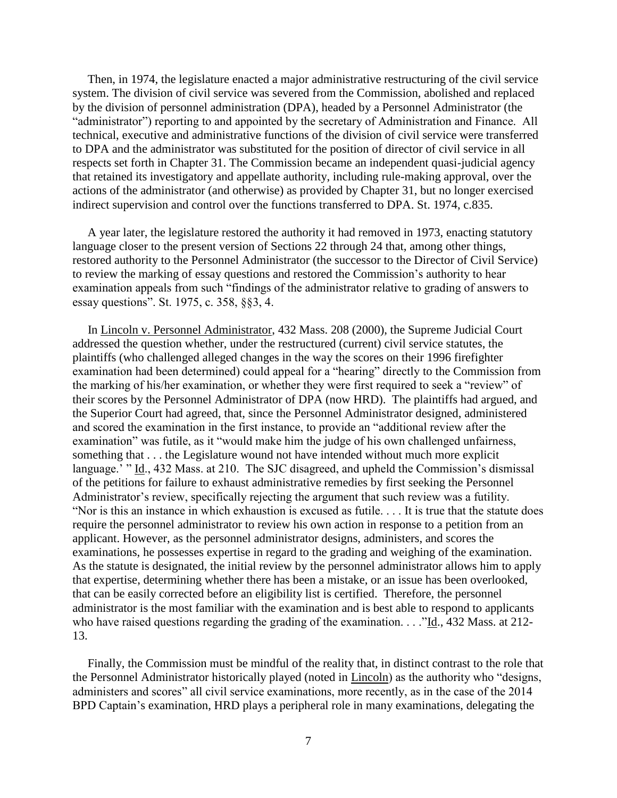Then, in 1974, the legislature enacted a major administrative restructuring of the civil service system. The division of civil service was severed from the Commission, abolished and replaced by the division of personnel administration (DPA), headed by a Personnel Administrator (the "administrator") reporting to and appointed by the secretary of Administration and Finance. All technical, executive and administrative functions of the division of civil service were transferred to DPA and the administrator was substituted for the position of director of civil service in all respects set forth in Chapter 31. The Commission became an independent quasi-judicial agency that retained its investigatory and appellate authority, including rule-making approval, over the actions of the administrator (and otherwise) as provided by Chapter 31, but no longer exercised indirect supervision and control over the functions transferred to DPA. St. 1974, c.835.

 A year later, the legislature restored the authority it had removed in 1973, enacting statutory language closer to the present version of Sections 22 through 24 that, among other things, restored authority to the Personnel Administrator (the successor to the Director of Civil Service) to review the marking of essay questions and restored the Commission's authority to hear examination appeals from such "findings of the administrator relative to grading of answers to essay questions". St. 1975, c. 358, §§3, 4.

 In Lincoln v. Personnel Administrator, 432 Mass. 208 (2000), the Supreme Judicial Court addressed the question whether, under the restructured (current) civil service statutes, the plaintiffs (who challenged alleged changes in the way the scores on their 1996 firefighter examination had been determined) could appeal for a "hearing" directly to the Commission from the marking of his/her examination, or whether they were first required to seek a "review" of their scores by the Personnel Administrator of DPA (now HRD). The plaintiffs had argued, and the Superior Court had agreed, that, since the Personnel Administrator designed, administered and scored the examination in the first instance, to provide an "additional review after the examination" was futile, as it "would make him the judge of his own challenged unfairness, something that . . . the Legislature wound not have intended without much more explicit language.' " Id., 432 Mass. at 210. The SJC disagreed, and upheld the Commission's dismissal of the petitions for failure to exhaust administrative remedies by first seeking the Personnel Administrator's review, specifically rejecting the argument that such review was a futility. "Nor is this an instance in which exhaustion is excused as futile. . . . It is true that the statute does require the personnel administrator to review his own action in response to a petition from an applicant. However, as the personnel administrator designs, administers, and scores the examinations, he possesses expertise in regard to the grading and weighing of the examination. As the statute is designated, the initial review by the personnel administrator allows him to apply that expertise, determining whether there has been a mistake, or an issue has been overlooked, that can be easily corrected before an eligibility list is certified. Therefore, the personnel administrator is the most familiar with the examination and is best able to respond to applicants who have raised questions regarding the grading of the examination. . . . "Id., 432 Mass. at 212-13.

 Finally, the Commission must be mindful of the reality that, in distinct contrast to the role that the Personnel Administrator historically played (noted in Lincoln) as the authority who "designs, administers and scores" all civil service examinations, more recently, as in the case of the 2014 BPD Captain's examination, HRD plays a peripheral role in many examinations, delegating the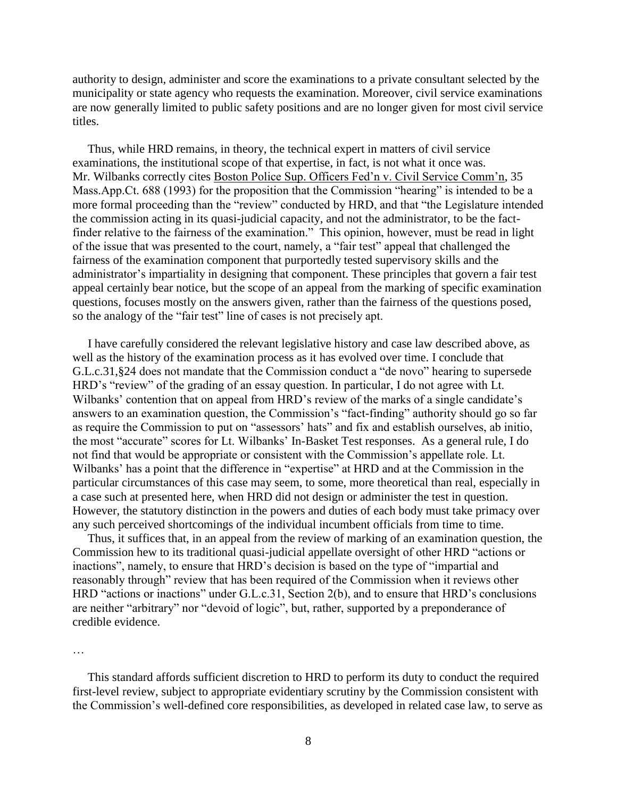authority to design, administer and score the examinations to a private consultant selected by the municipality or state agency who requests the examination. Moreover, civil service examinations are now generally limited to public safety positions and are no longer given for most civil service titles.

 Thus, while HRD remains, in theory, the technical expert in matters of civil service examinations, the institutional scope of that expertise, in fact, is not what it once was. Mr. Wilbanks correctly cites Boston Police Sup. Officers Fed'n v. Civil Service Comm'n, 35 Mass.App.Ct. 688 (1993) for the proposition that the Commission "hearing" is intended to be a more formal proceeding than the "review" conducted by HRD, and that "the Legislature intended the commission acting in its quasi-judicial capacity, and not the administrator, to be the factfinder relative to the fairness of the examination." This opinion, however, must be read in light of the issue that was presented to the court, namely, a "fair test" appeal that challenged the fairness of the examination component that purportedly tested supervisory skills and the administrator's impartiality in designing that component. These principles that govern a fair test appeal certainly bear notice, but the scope of an appeal from the marking of specific examination questions, focuses mostly on the answers given, rather than the fairness of the questions posed, so the analogy of the "fair test" line of cases is not precisely apt.

 I have carefully considered the relevant legislative history and case law described above, as well as the history of the examination process as it has evolved over time. I conclude that G.L.c.31,§24 does not mandate that the Commission conduct a "de novo" hearing to supersede HRD's "review" of the grading of an essay question. In particular, I do not agree with Lt. Wilbanks' contention that on appeal from HRD's review of the marks of a single candidate's answers to an examination question, the Commission's "fact-finding" authority should go so far as require the Commission to put on "assessors' hats" and fix and establish ourselves, ab initio, the most "accurate" scores for Lt. Wilbanks' In-Basket Test responses. As a general rule, I do not find that would be appropriate or consistent with the Commission's appellate role. Lt. Wilbanks' has a point that the difference in "expertise" at HRD and at the Commission in the particular circumstances of this case may seem, to some, more theoretical than real, especially in a case such at presented here, when HRD did not design or administer the test in question. However, the statutory distinction in the powers and duties of each body must take primacy over any such perceived shortcomings of the individual incumbent officials from time to time.

 Thus, it suffices that, in an appeal from the review of marking of an examination question, the Commission hew to its traditional quasi-judicial appellate oversight of other HRD "actions or inactions", namely, to ensure that HRD's decision is based on the type of "impartial and reasonably through" review that has been required of the Commission when it reviews other HRD "actions or inactions" under G.L.c.31, Section 2(b), and to ensure that HRD's conclusions are neither "arbitrary" nor "devoid of logic", but, rather, supported by a preponderance of credible evidence.

…

 This standard affords sufficient discretion to HRD to perform its duty to conduct the required first-level review, subject to appropriate evidentiary scrutiny by the Commission consistent with the Commission's well-defined core responsibilities, as developed in related case law, to serve as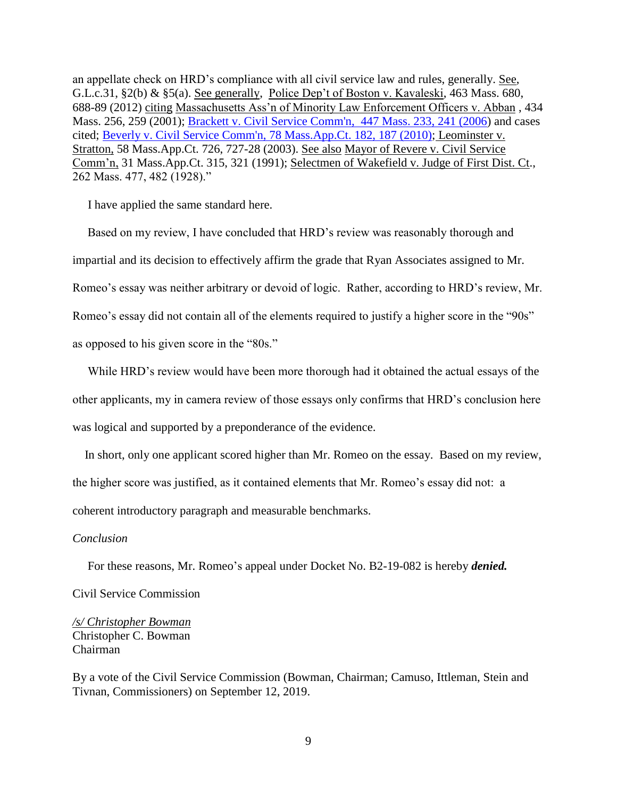an appellate check on HRD's compliance with all civil service law and rules, generally. See, G.L.c.31, §2(b) & §5(a). See generally, Police Dep't of Boston v. Kavaleski, 463 Mass. 680, 688-89 (2012) citing Massachusetts Ass'n of Minority Law Enforcement Officers v. Abban , 434 Mass. 256, 259 (2001); [Brackett v. Civil Service Comm'n, 447 Mass. 233, 241 \(2006\)](http://web2.westlaw.com/find/default.wl?mt=Massachusetts&db=578&rs=WLW15.04&tc=-1&rp=%2ffind%2fdefault.wl&findtype=Y&ordoc=2029136022&serialnum=2009543382&vr=2.0&fn=_top&sv=Split&tf=-1&pbc=70F732C1&utid=1) and cases cited; [Beverly v. Civil Service Comm'n, 78 Mass.App.Ct. 182, 187 \(2010\);](http://web2.westlaw.com/find/default.wl?mt=Massachusetts&db=578&rs=WLW15.04&tc=-1&rp=%2ffind%2fdefault.wl&findtype=Y&ordoc=2029136022&serialnum=2023501172&vr=2.0&fn=_top&sv=Split&tf=-1&pbc=70F732C1&utid=1) Leominster v. Stratton, 58 Mass.App.Ct. 726, 727-28 (2003). See also Mayor of Revere v. Civil Service Comm'n, 31 Mass.App.Ct. 315, 321 (1991); Selectmen of Wakefield v. Judge of First Dist. Ct., 262 Mass. 477, 482 (1928)."

I have applied the same standard here.

 Based on my review, I have concluded that HRD's review was reasonably thorough and impartial and its decision to effectively affirm the grade that Ryan Associates assigned to Mr. Romeo's essay was neither arbitrary or devoid of logic. Rather, according to HRD's review, Mr. Romeo's essay did not contain all of the elements required to justify a higher score in the "90s" as opposed to his given score in the "80s."

 While HRD's review would have been more thorough had it obtained the actual essays of the other applicants, my in camera review of those essays only confirms that HRD's conclusion here was logical and supported by a preponderance of the evidence.

 In short, only one applicant scored higher than Mr. Romeo on the essay. Based on my review, the higher score was justified, as it contained elements that Mr. Romeo's essay did not: a coherent introductory paragraph and measurable benchmarks.

# *Conclusion*

For these reasons, Mr. Romeo's appeal under Docket No. B2-19-082 is hereby *denied.*

Civil Service Commission

*/s/ Christopher Bowman* Christopher C. Bowman Chairman

By a vote of the Civil Service Commission (Bowman, Chairman; Camuso, Ittleman, Stein and Tivnan, Commissioners) on September 12, 2019.